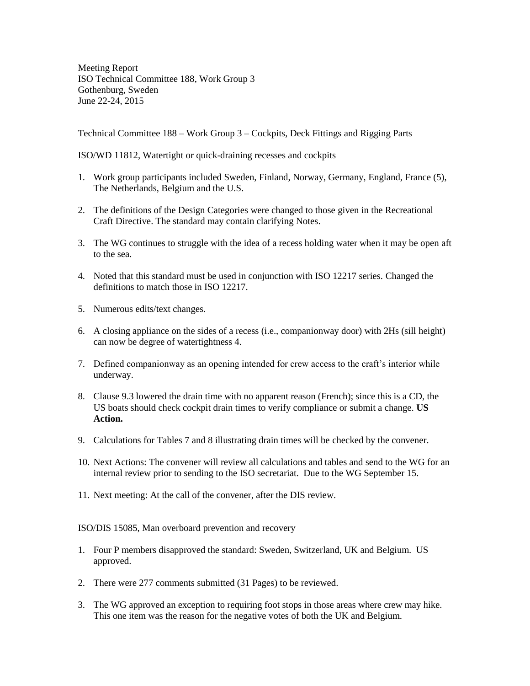Meeting Report ISO Technical Committee 188, Work Group 3 Gothenburg, Sweden June 22-24, 2015

Technical Committee 188 – Work Group 3 – Cockpits, Deck Fittings and Rigging Parts

ISO/WD 11812, Watertight or quick-draining recesses and cockpits

- 1. Work group participants included Sweden, Finland, Norway, Germany, England, France (5), The Netherlands, Belgium and the U.S.
- 2. The definitions of the Design Categories were changed to those given in the Recreational Craft Directive. The standard may contain clarifying Notes.
- 3. The WG continues to struggle with the idea of a recess holding water when it may be open aft to the sea.
- 4. Noted that this standard must be used in conjunction with ISO 12217 series. Changed the definitions to match those in ISO 12217.
- 5. Numerous edits/text changes.
- 6. A closing appliance on the sides of a recess (i.e., companionway door) with 2Hs (sill height) can now be degree of watertightness 4.
- 7. Defined companionway as an opening intended for crew access to the craft's interior while underway.
- 8. Clause 9.3 lowered the drain time with no apparent reason (French); since this is a CD, the US boats should check cockpit drain times to verify compliance or submit a change. **US Action.**
- 9. Calculations for Tables 7 and 8 illustrating drain times will be checked by the convener.
- 10. Next Actions: The convener will review all calculations and tables and send to the WG for an internal review prior to sending to the ISO secretariat. Due to the WG September 15.
- 11. Next meeting: At the call of the convener, after the DIS review.

ISO/DIS 15085, Man overboard prevention and recovery

- 1. Four P members disapproved the standard: Sweden, Switzerland, UK and Belgium. US approved.
- 2. There were 277 comments submitted (31 Pages) to be reviewed.
- 3. The WG approved an exception to requiring foot stops in those areas where crew may hike. This one item was the reason for the negative votes of both the UK and Belgium.